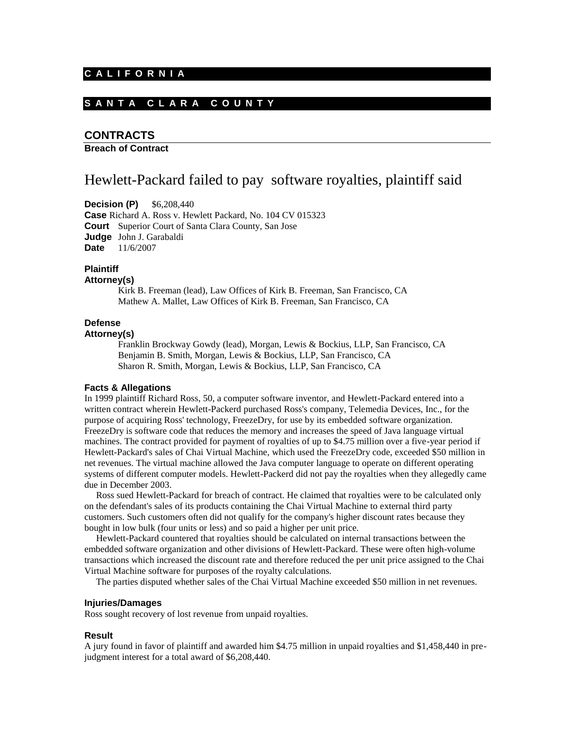#### **C A L I F O R N I A**

## **S A N T A C L A R A C O U N T Y**

## **CONTRACTS**

**Breach of Contract** 

# Hewlett-Packard failed to pay software royalties, plaintiff said

**Decision (P)** \$6,208,440

**Case** Richard A. Ross v. Hewlett Packard, No. 104 CV 015323 **Court** Superior Court of Santa Clara County, San Jose **Judge** John J. Garabaldi **Date** 11/6/2007

#### **Plaintiff**

#### **Attorney(s)**

Kirk B. Freeman (lead), Law Offices of Kirk B. Freeman, San Francisco, CA Mathew A. Mallet, Law Offices of Kirk B. Freeman, San Francisco, CA

## **Defense**

## **Attorney(s)**

Franklin Brockway Gowdy (lead), Morgan, Lewis & Bockius, LLP, San Francisco, CA Benjamin B. Smith, Morgan, Lewis & Bockius, LLP, San Francisco, CA Sharon R. Smith, Morgan, Lewis & Bockius, LLP, San Francisco, CA

## **Facts & Allegations**

In 1999 plaintiff Richard Ross, 50, a computer software inventor, and Hewlett-Packard entered into a written contract wherein Hewlett-Packerd purchased Ross's company, Telemedia Devices, Inc., for the purpose of acquiring Ross' technology, FreezeDry, for use by its embedded software organization. FreezeDry is software code that reduces the memory and increases the speed of Java language virtual machines. The contract provided for payment of royalties of up to \$4.75 million over a five-year period if Hewlett-Packard's sales of Chai Virtual Machine, which used the FreezeDry code, exceeded \$50 million in net revenues. The virtual machine allowed the Java computer language to operate on different operating systems of different computer models. Hewlett-Packerd did not pay the royalties when they allegedly came due in December 2003.

 Ross sued Hewlett-Packard for breach of contract. He claimed that royalties were to be calculated only on the defendant's sales of its products containing the Chai Virtual Machine to external third party customers. Such customers often did not qualify for the company's higher discount rates because they bought in low bulk (four units or less) and so paid a higher per unit price.

 Hewlett-Packard countered that royalties should be calculated on internal transactions between the embedded software organization and other divisions of Hewlett-Packard. These were often high-volume transactions which increased the discount rate and therefore reduced the per unit price assigned to the Chai Virtual Machine software for purposes of the royalty calculations.

The parties disputed whether sales of the Chai Virtual Machine exceeded \$50 million in net revenues.

### **Injuries/Damages**

Ross sought recovery of lost revenue from unpaid royalties.

#### **Result**

A jury found in favor of plaintiff and awarded him \$4.75 million in unpaid royalties and \$1,458,440 in prejudgment interest for a total award of \$6,208,440.